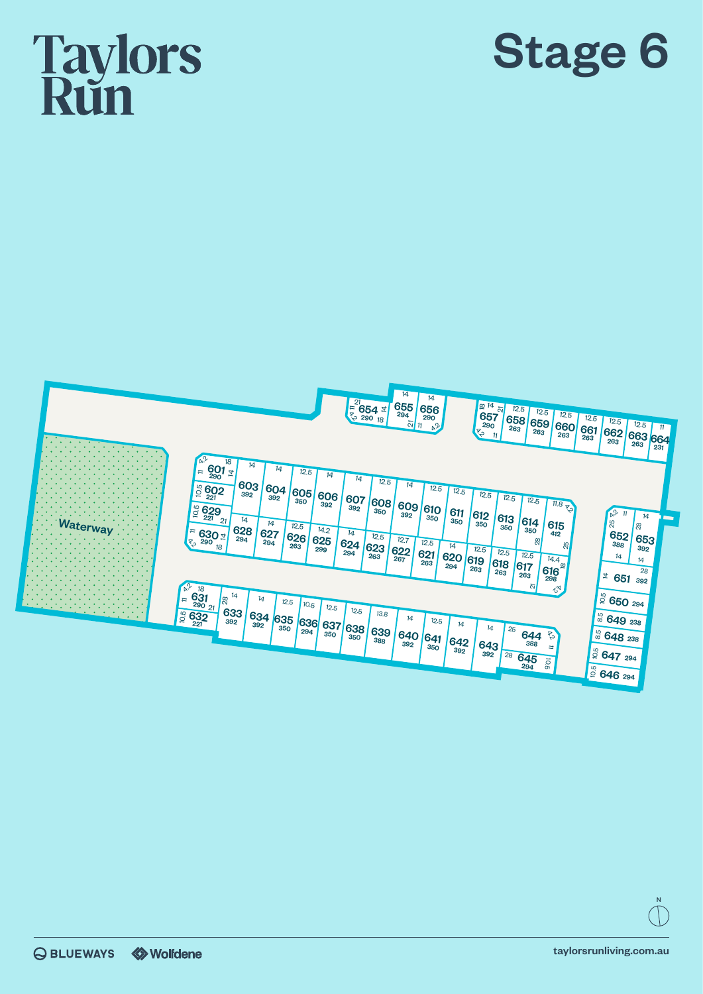## **Taylors**<br>Run





N